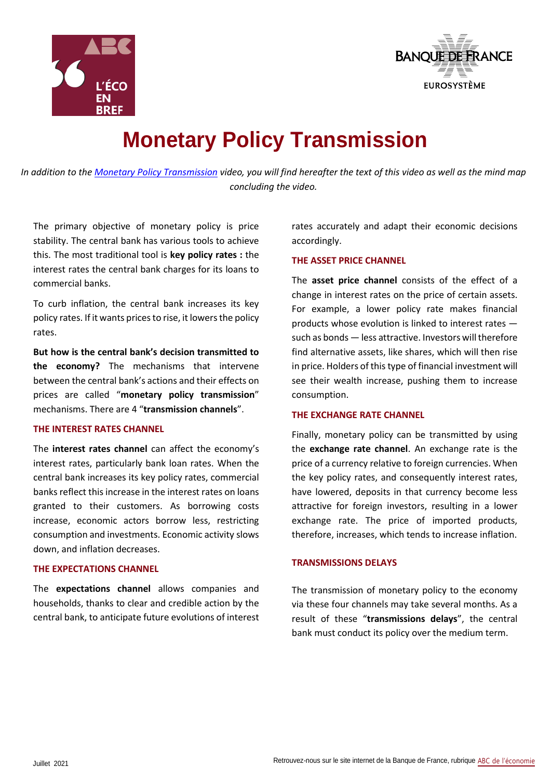



# **Monetary Policy Transmission**

*In addition to the [Monetary Policy Transmission](https://www.youtube.com/watch?v=cPs-a5YokH8) video, you will find hereafter the text of this video as well as the mind map concluding the video.*

The primary objective of monetary policy is price stability. The central bank has various tools to achieve this. The most traditional tool is **key policy rates :** the interest rates the central bank charges for its loans to commercial banks.

To curb inflation, the central bank increases its key policy rates. If it wants prices to rise, it lowers the policy rates.

**But how is the central bank's decision transmitted to the economy?** The mechanisms that intervene between the central bank's actions and their effects on prices are called "**monetary policy transmission**" mechanisms. There are 4 "**transmission channels**".

#### **THE INTEREST RATES CHANNEL**

The **interest rates channel** can affect the economy's interest rates, particularly bank loan rates. When the central bank increases its key policy rates, commercial banks reflect this increase in the interest rates on loans granted to their customers. As borrowing costs increase, economic actors borrow less, restricting consumption and investments. Economic activity slows down, and inflation decreases.

#### **THE EXPECTATIONS CHANNEL**

The **expectations channel** allows companies and households, thanks to clear and credible action by the central bank, to anticipate future evolutions of interest rates accurately and adapt their economic decisions accordingly.

## **THE ASSET PRICE CHANNEL**

The **asset price channel** consists of the effect of a change in interest rates on the price of certain assets. For example, a lower policy rate makes financial products whose evolution is linked to interest rates such as bonds — less attractive. Investors will therefore find alternative assets, like shares, which will then rise in price. Holders of this type of financial investment will see their wealth increase, pushing them to increase consumption.

## **THE EXCHANGE RATE CHANNEL**

Finally, monetary policy can be transmitted by using the **exchange rate channel**. An exchange rate is the price of a currency relative to foreign currencies. When the key policy rates, and consequently interest rates, have lowered, deposits in that currency become less attractive for foreign investors, resulting in a lower exchange rate. The price of imported products, therefore, increases, which tends to increase inflation.

#### **TRANSMISSIONS DELAYS**

The transmission of monetary policy to the economy via these four channels may take several months. As a result of these "**transmissions delays**", the central bank must conduct its policy over the medium term.